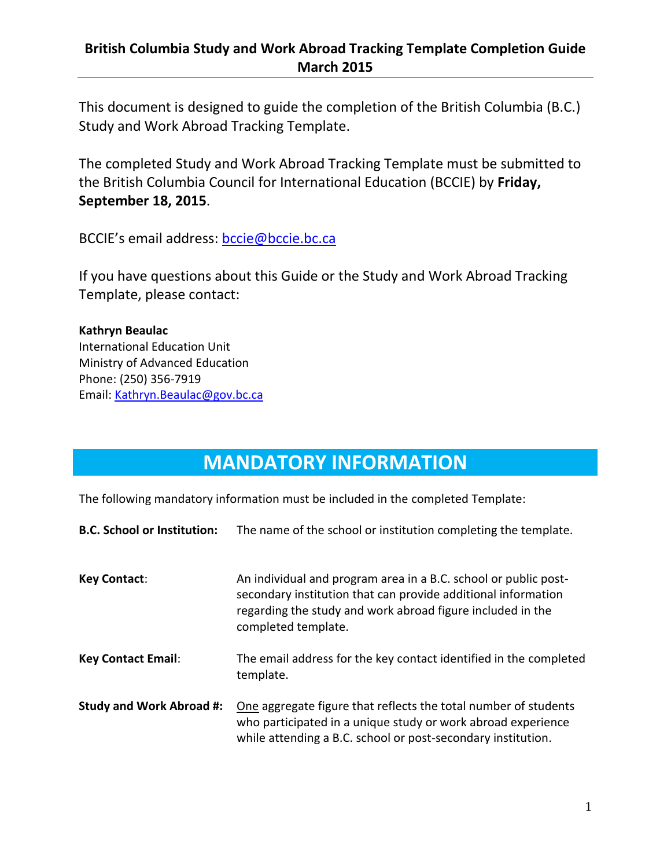### **British Columbia Study and Work Abroad Tracking Template Completion Guide March 2015**

This document is designed to guide the completion of the British Columbia (B.C.) Study and Work Abroad Tracking Template.

The completed Study and Work Abroad Tracking Template must be submitted to the British Columbia Council for International Education (BCCIE) by **Friday, September 18, 2015**.

BCCIE's email address: [bccie@bccie.bc.ca](mailto:bccie@bccie.bc.ca)

If you have questions about this Guide or the Study and Work Abroad Tracking Template, please contact:

**Kathryn Beaulac** International Education Unit Ministry of Advanced Education Phone: (250) 356-7919 Email: [Kathryn.Beaulac@gov.bc.ca](mailto:Kathryn.Beaulac@gov.bc.ca)

## **MANDATORY INFORMATION**

The following mandatory information must be included in the completed Template:

| <b>B.C. School or Institution:</b> | The name of the school or institution completing the template.                                                                                                                                                        |
|------------------------------------|-----------------------------------------------------------------------------------------------------------------------------------------------------------------------------------------------------------------------|
| <b>Key Contact:</b>                | An individual and program area in a B.C. school or public post-<br>secondary institution that can provide additional information<br>regarding the study and work abroad figure included in the<br>completed template. |
| <b>Key Contact Email:</b>          | The email address for the key contact identified in the completed<br>template.                                                                                                                                        |
| <b>Study and Work Abroad #:</b>    | One aggregate figure that reflects the total number of students<br>who participated in a unique study or work abroad experience<br>while attending a B.C. school or post-secondary institution.                       |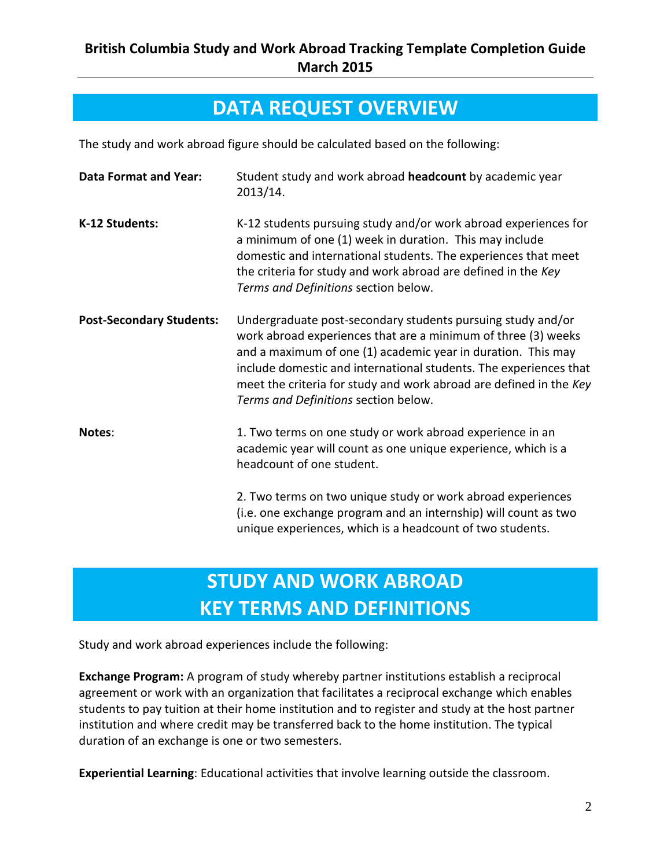### **DATA REQUEST OVERVIEW**

The study and work abroad figure should be calculated based on the following:

| <b>Data Format and Year:</b>    | Student study and work abroad headcount by academic year<br>2013/14.                                                                                                                                                                                                                                                                                                            |
|---------------------------------|---------------------------------------------------------------------------------------------------------------------------------------------------------------------------------------------------------------------------------------------------------------------------------------------------------------------------------------------------------------------------------|
| K-12 Students:                  | K-12 students pursuing study and/or work abroad experiences for<br>a minimum of one (1) week in duration. This may include<br>domestic and international students. The experiences that meet<br>the criteria for study and work abroad are defined in the Key<br>Terms and Definitions section below.                                                                           |
| <b>Post-Secondary Students:</b> | Undergraduate post-secondary students pursuing study and/or<br>work abroad experiences that are a minimum of three (3) weeks<br>and a maximum of one (1) academic year in duration. This may<br>include domestic and international students. The experiences that<br>meet the criteria for study and work abroad are defined in the Key<br>Terms and Definitions section below. |
| Notes:                          | 1. Two terms on one study or work abroad experience in an<br>academic year will count as one unique experience, which is a<br>headcount of one student.                                                                                                                                                                                                                         |
|                                 | 2. Two terms on two unique study or work abroad experiences<br>(i.e. one exchange program and an internship) will count as two<br>unique experiences, which is a headcount of two students.                                                                                                                                                                                     |

# **STUDY AND WORK ABROAD KEY TERMS AND DEFINITIONS**

Study and work abroad experiences include the following:

**Exchange Program:** A program of study whereby partner institutions establish a reciprocal agreement or work with an organization that facilitates a reciprocal exchange which enables students to pay tuition at their home institution and to register and study at the host partner institution and where credit may be transferred back to the home institution. The typical duration of an exchange is one or two semesters.

**Experiential Learning**: Educational activities that involve learning outside the classroom.